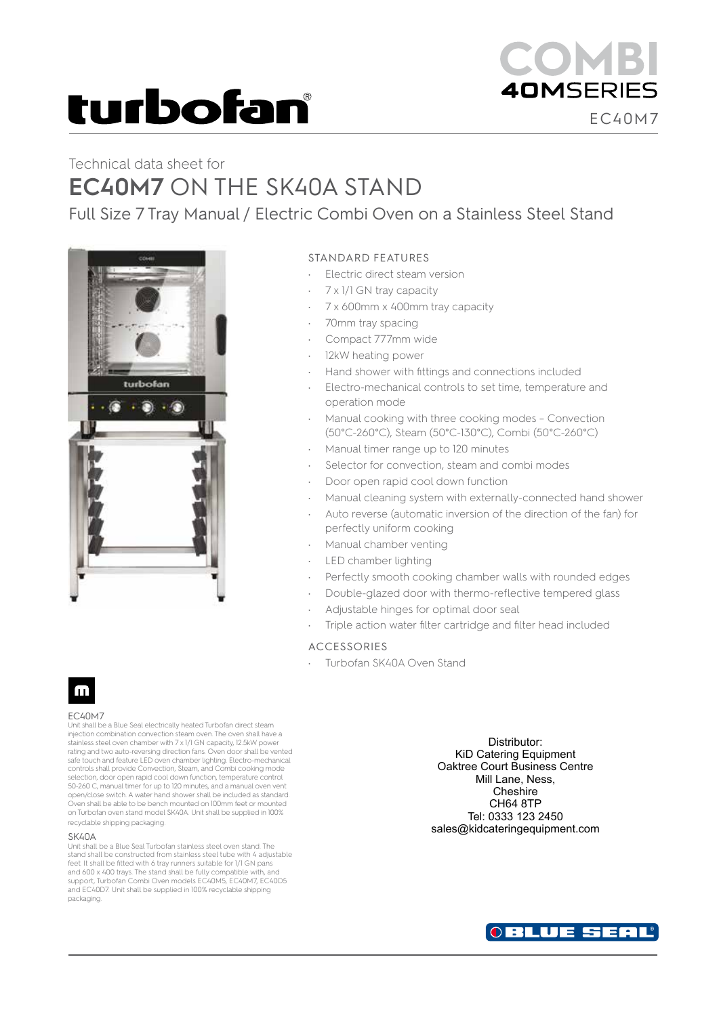# turbofan

## Technical data sheet for **EC40M7** ON THE SK40A STAND

Full Size 7 Tray Manual / Electric Combi Oven on a Stainless Steel Stand



### STANDARD FEATURES

- Electric direct steam version
- 7 x 1/1 GN tray capacity
- 7 x 600mm x 400mm tray capacity
- 70mm tray spacing
- Compact 777mm wide
- 12kW heating power
- Hand shower with fittings and connections included
- Electro-mechanical controls to set time, temperature and operation mode
- Manual cooking with three cooking modes Convection (50°C-260°C), Steam (50°C-130°C), Combi (50°C-260°C)
- Manual timer range up to 120 minutes
- Selector for convection, steam and combi modes
- Door open rapid cool down function
- Manual cleaning system with externally-connected hand shower
- Auto reverse (automatic inversion of the direction of the fan) for perfectly uniform cooking
- Manual chamber venting
- LED chamber lighting
- Perfectly smooth cooking chamber walls with rounded edges
	- Double-glazed door with thermo-reflective tempered glass
- Adjustable hinges for optimal door seal
- Triple action water filter cartridge and filter head included

### ACCESSORIES

• Turbofan SK40A Oven Stand

## m

#### EC40M7

Unit shall be a Blue Seal electrically heated Turbofan direct steam injection combination convection steam oven. The oven shall have a stainless steel oven chamber with 7 x 1/1 GN capacity, 12.5kW power rating and two auto-reversing direction fans. Oven door shall be vented safe touch and feature LED oven chamber lighting. Electro-mechanical controls shall provide Convection, Steam, and Combi cooking mode selection, door open rapid cool down function, temperature control 50-260 C, manual timer for up to 120 minutes, and a manual oven vent open/close switch. A water hand shower shall be included as standard. Oven shall be able to be bench mounted on 100mm feet or mounted on Turbofan oven stand model SK40A. Unit shall be supplied in 100% recyclable shipping packaging.

#### SK40A

Unit shall be a Blue Seal Turbofan stainless steel oven stand. The stand shall be constructed from stainless steel tube with 4 adjustable feet. It shall be fitted with 6 tray runners suitable for 1/1 GN pans and 600 x 400 trays. The stand shall be fully compatible with, and support, Turbofan Combi Oven models EC40M5, EC40M7, EC40D5 and EC40D7. Unit shall be supplied in 100% recyclable shipping packaging.

Distributor: KiD Catering Equipment Oaktree Court Business Centre Mill Lane, Ness, **Cheshire** CH64 8TP Tel: 0333 123 2450 sales@kidcateringequipment.com



EC40M7

**40MSERIES**